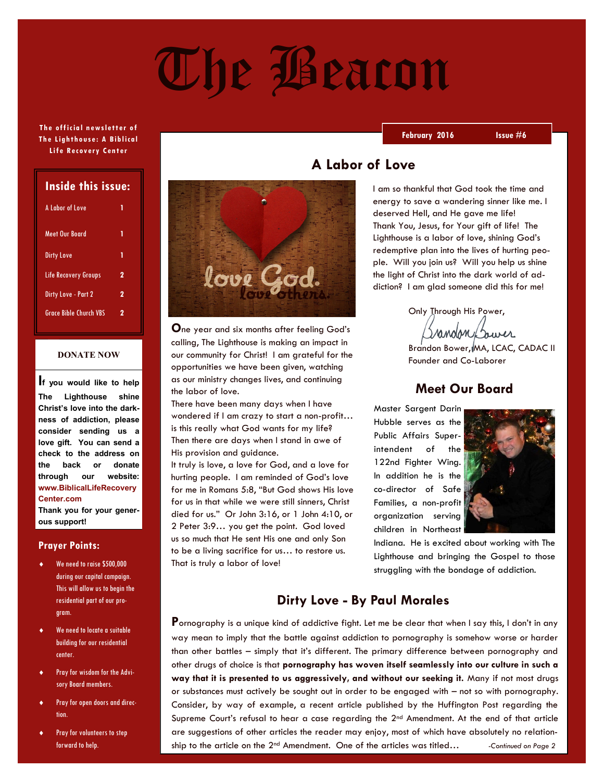# The Beacon

#### **The official newsletter of Th e Lighth ous e: A Bib lica l Lif e R ec overy Cent er**

| Inside this issue:            |   |
|-------------------------------|---|
| A Labor of Love               | 1 |
| Meet Our Board                | 1 |
| <b>Dirty Love</b>             | 1 |
| Life Recovery Groups          | 2 |
| Dirty Love - Part 2           | 2 |
| <b>Grace Bible Church VBS</b> | 2 |

#### **DONATE NOW**

**If you would like to help The Lighthouse shine Christ's love into the darkness of addiction, please consider sending us a love gift. You can send a check to the address on the back or donate through our website: www.BiblicalLifeRecovery Center.com**

**Thank you for your generous support!**

#### **Prayer Points:**

- We need to raise \$500,000 during our capital campaign. This will allow us to begin the residential part of our program.
- We need to locate a suitable building for our residential center.
- Pray for wisdom for the Advisory Board members.
- Pray for open doors and direction.
- Pray for volunteers to step forward to help.



**O**ne year and six months after feeling God's calling, The Lighthouse is making an impact in our community for Christ! I am grateful for the opportunities we have been given, watching as our ministry changes lives, and continuing the labor of love.

There have been many days when I have wondered if I am crazy to start a non-profit… is this really what God wants for my life? Then there are days when I stand in awe of His provision and guidance.

It truly is love, a love for God, and a love for hurting people. I am reminded of God's love for me in Romans 5:8, "But God shows His love for us in that while we were still sinners, Christ died for us." Or John 3:16, or 1 John 4:10, or 2 Peter 3:9… you get the point. God loved us so much that He sent His one and only Son to be a living sacrifice for us… to restore us. That is truly a labor of love!

## **A Labor of Love**

I am so thankful that God took the time and energy to save a wandering sinner like me. I deserved Hell, and He gave me life! Thank You, Jesus, for Your gift of life! The Lighthouse is a labor of love, shining God's redemptive plan into the lives of hurting people. Will you join us? Will you help us shine the light of Christ into the dark world of addiction? I am glad someone did this for me!

 Only Through His Power, Grandon Bower

Brandon Bower, MA, LCAC, CADAC II Founder and Co-Laborer

#### **Meet Our Board**

Master Sargent Darin Hubble serves as the Public Affairs Superintendent of the 122nd Fighter Wing. In addition he is the co-director of Safe Families, a non-profit organization serving children in Northeast



Indiana. He is excited about working with The Lighthouse and bringing the Gospel to those struggling with the bondage of addiction.

## **Dirty Love - By Paul Morales**

**P**ornography is a unique kind of addictive fight. Let me be clear that when I say this, I don't in any way mean to imply that the battle against addiction to pornography is somehow worse or harder than other battles – simply that it's different. The primary difference between pornography and other drugs of choice is that **pornography has woven itself seamlessly into our culture in such a way that it is presented to us aggressively, and without our seeking it.** Many if not most drugs or substances must actively be sought out in order to be engaged with – not so with pornography. Consider, by way of example, a recent article published by the Huffington Post regarding the Supreme Court's refusal to hear a case regarding the 2<sup>nd</sup> Amendment. At the end of that article are suggestions of other articles the reader may enjoy, most of which have absolutely no relationship to the article on the 2<sup>nd</sup> Amendment. One of the articles was titled... *-Continued on Page 2* 

#### **February 2016 Issue #6**